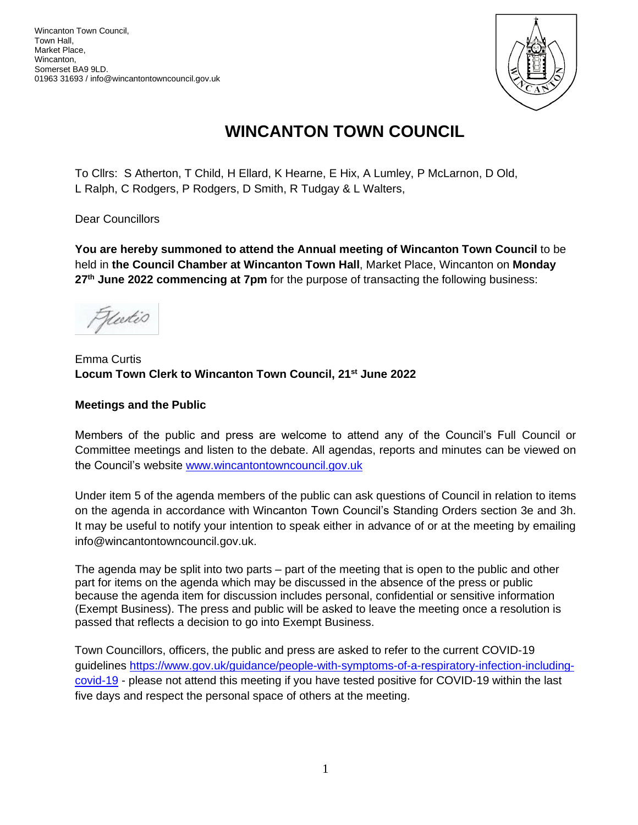

# **WINCANTON TOWN COUNCIL**

To Cllrs: S Atherton, T Child, H Ellard, K Hearne, E Hix, A Lumley, P McLarnon, D Old, L Ralph, C Rodgers, P Rodgers, D Smith, R Tudgay & L Walters,

Dear Councillors

**You are hereby summoned to attend the Annual meeting of Wincanton Town Council** to be held in **the Council Chamber at Wincanton Town Hall**, Market Place, Wincanton on **Monday 27th June 2022 commencing at 7pm** for the purpose of transacting the following business:

Hurtis

# Emma Curtis **Locum Town Clerk to Wincanton Town Council, 21st June 2022**

# **Meetings and the Public**

Members of the public and press are welcome to attend any of the Council's Full Council or Committee meetings and listen to the debate. All agendas, reports and minutes can be viewed on the Council's website [www.wincantontowncouncil.gov.uk](http://www.wincantontowncouncil.gov.uk/)

Under item 5 of the agenda members of the public can ask questions of Council in relation to items on the agenda in accordance with Wincanton Town Council's Standing Orders section 3e and 3h. It may be useful to notify your intention to speak either in advance of or at the meeting by emailing info@wincantontowncouncil.gov.uk.

The agenda may be split into two parts – part of the meeting that is open to the public and other part for items on the agenda which may be discussed in the absence of the press or public because the agenda item for discussion includes personal, confidential or sensitive information (Exempt Business). The press and public will be asked to leave the meeting once a resolution is passed that reflects a decision to go into Exempt Business.

Town Councillors, officers, the public and press are asked to refer to the current COVID-19 guidelines [https://www.gov.uk/guidance/people-with-symptoms-of-a-respiratory-infection-including](https://www.gov.uk/guidance/people-with-symptoms-of-a-respiratory-infection-including-covid-19)[covid-19](https://www.gov.uk/guidance/people-with-symptoms-of-a-respiratory-infection-including-covid-19) - please not attend this meeting if you have tested positive for COVID-19 within the last five days and respect the personal space of others at the meeting.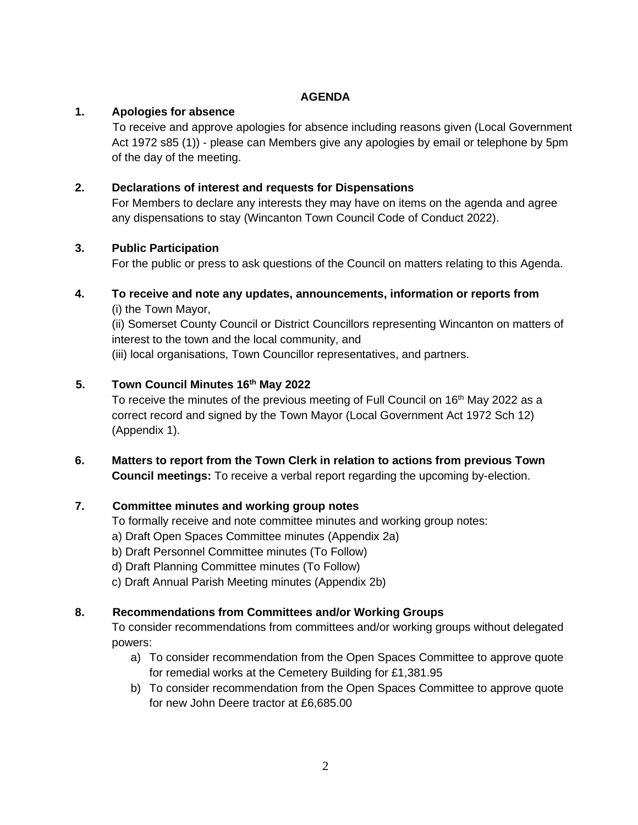# **AGENDA**

# **1. Apologies for absence**

To receive and approve apologies for absence including reasons given (Local Government Act 1972 s85 (1)) - please can Members give any apologies by email or telephone by 5pm of the day of the meeting.

# **2. Declarations of interest and requests for Dispensations**

For Members to declare any interests they may have on items on the agenda and agree any dispensations to stay (Wincanton Town Council Code of Conduct 2022).

## **3. Public Participation**

For the public or press to ask questions of the Council on matters relating to this Agenda.

# **4. To receive and note any updates, announcements, information or reports from**

(i) the Town Mayor,

(ii) Somerset County Council or District Councillors representing Wincanton on matters of interest to the town and the local community, and

(iii) local organisations, Town Councillor representatives, and partners.

# **5. Town Council Minutes 16th May 2022**

To receive the minutes of the previous meeting of Full Council on 16<sup>th</sup> May 2022 as a correct record and signed by the Town Mayor (Local Government Act 1972 Sch 12) (Appendix 1).

# **6. Matters to report from the Town Clerk in relation to actions from previous Town Council meetings:** To receive a verbal report regarding the upcoming by-election.

# **7. Committee minutes and working group notes**

To formally receive and note committee minutes and working group notes:

- a) Draft Open Spaces Committee minutes (Appendix 2a)
- b) Draft Personnel Committee minutes (To Follow)
- d) Draft Planning Committee minutes (To Follow)
- c) Draft Annual Parish Meeting minutes (Appendix 2b)

# **8. Recommendations from Committees and/or Working Groups**

To consider recommendations from committees and/or working groups without delegated powers:

- a) To consider recommendation from the Open Spaces Committee to approve quote for remedial works at the Cemetery Building for £1,381.95
- b) To consider recommendation from the Open Spaces Committee to approve quote for new John Deere tractor at £6,685.00